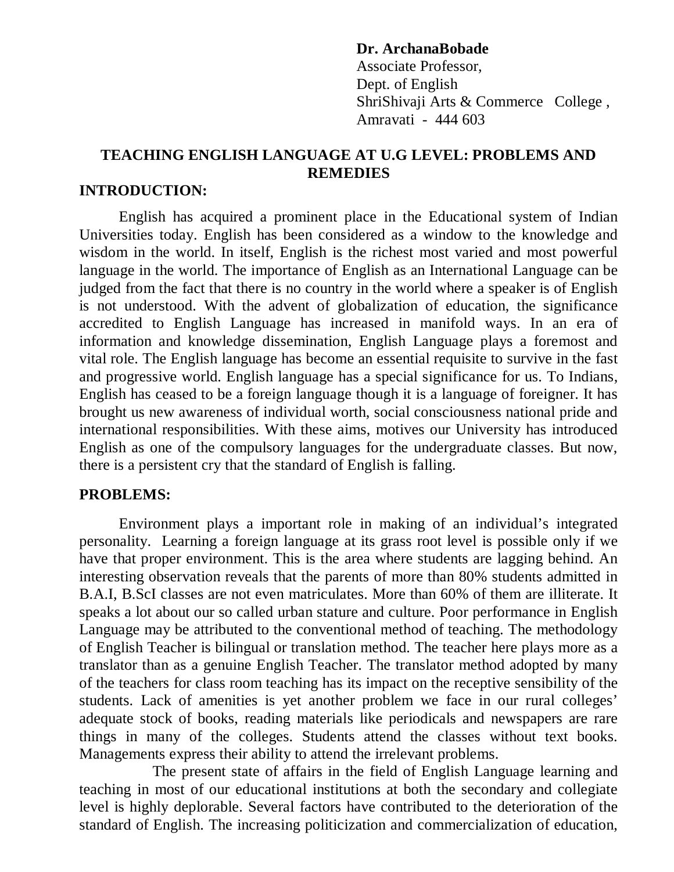#### **Dr. ArchanaBobade**

Associate Professor, Dept. of English ShriShivaji Arts & Commerce College , Amravati - 444 603

# **TEACHING ENGLISH LANGUAGE AT U.G LEVEL: PROBLEMS AND REMEDIES**

#### **INTRODUCTION:**

English has acquired a prominent place in the Educational system of Indian Universities today. English has been considered as a window to the knowledge and wisdom in the world. In itself, English is the richest most varied and most powerful language in the world. The importance of English as an International Language can be judged from the fact that there is no country in the world where a speaker is of English is not understood. With the advent of globalization of education, the significance accredited to English Language has increased in manifold ways. In an era of information and knowledge dissemination, English Language plays a foremost and vital role. The English language has become an essential requisite to survive in the fast and progressive world. English language has a special significance for us. To Indians, English has ceased to be a foreign language though it is a language of foreigner. It has brought us new awareness of individual worth, social consciousness national pride and international responsibilities. With these aims, motives our University has introduced English as one of the compulsory languages for the undergraduate classes. But now, there is a persistent cry that the standard of English is falling.

## **PROBLEMS:**

Environment plays a important role in making of an individual's integrated personality. Learning a foreign language at its grass root level is possible only if we have that proper environment. This is the area where students are lagging behind. An interesting observation reveals that the parents of more than 80% students admitted in B.A.I, B.ScI classes are not even matriculates. More than 60% of them are illiterate. It speaks a lot about our so called urban stature and culture. Poor performance in English Language may be attributed to the conventional method of teaching. The methodology of English Teacher is bilingual or translation method. The teacher here plays more as a translator than as a genuine English Teacher. The translator method adopted by many of the teachers for class room teaching has its impact on the receptive sensibility of the students. Lack of amenities is yet another problem we face in our rural colleges' adequate stock of books, reading materials like periodicals and newspapers are rare things in many of the colleges. Students attend the classes without text books. Managements express their ability to attend the irrelevant problems.

 The present state of affairs in the field of English Language learning and teaching in most of our educational institutions at both the secondary and collegiate level is highly deplorable. Several factors have contributed to the deterioration of the standard of English. The increasing politicization and commercialization of education,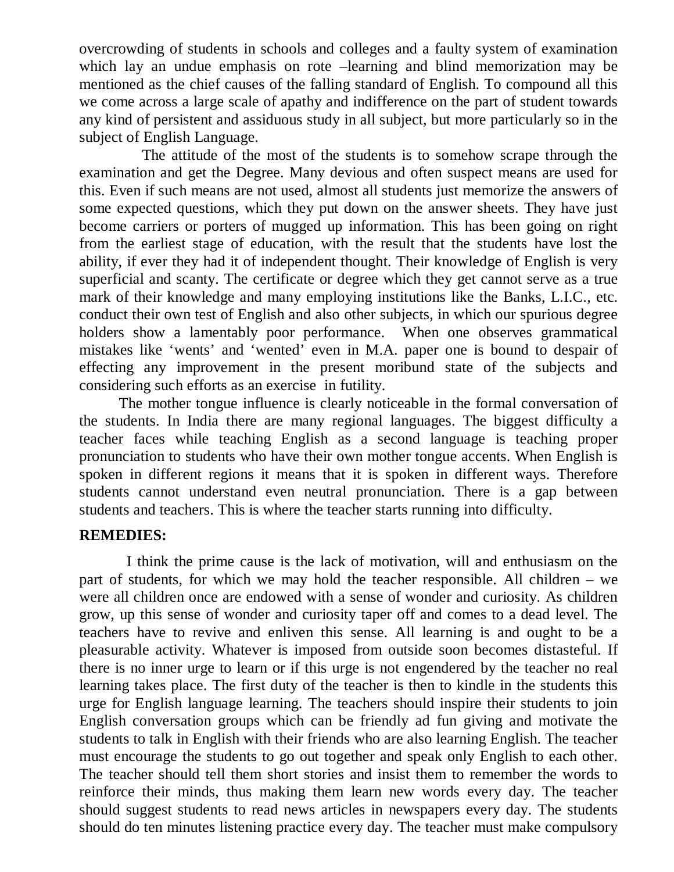overcrowding of students in schools and colleges and a faulty system of examination which lay an undue emphasis on rote –learning and blind memorization may be mentioned as the chief causes of the falling standard of English. To compound all this we come across a large scale of apathy and indifference on the part of student towards any kind of persistent and assiduous study in all subject, but more particularly so in the subject of English Language.

 The attitude of the most of the students is to somehow scrape through the examination and get the Degree. Many devious and often suspect means are used for this. Even if such means are not used, almost all students just memorize the answers of some expected questions, which they put down on the answer sheets. They have just become carriers or porters of mugged up information. This has been going on right from the earliest stage of education, with the result that the students have lost the ability, if ever they had it of independent thought. Their knowledge of English is very superficial and scanty. The certificate or degree which they get cannot serve as a true mark of their knowledge and many employing institutions like the Banks, L.I.C., etc. conduct their own test of English and also other subjects, in which our spurious degree holders show a lamentably poor performance. When one observes grammatical mistakes like 'wents' and 'wented' even in M.A. paper one is bound to despair of effecting any improvement in the present moribund state of the subjects and considering such efforts as an exercise in futility.

The mother tongue influence is clearly noticeable in the formal conversation of the students. In India there are many regional languages. The biggest difficulty a teacher faces while teaching English as a second language is teaching proper pronunciation to students who have their own mother tongue accents. When English is spoken in different regions it means that it is spoken in different ways. Therefore students cannot understand even neutral pronunciation. There is a gap between students and teachers. This is where the teacher starts running into difficulty.

## **REMEDIES:**

 I think the prime cause is the lack of motivation, will and enthusiasm on the part of students, for which we may hold the teacher responsible. All children – we were all children once are endowed with a sense of wonder and curiosity. As children grow, up this sense of wonder and curiosity taper off and comes to a dead level. The teachers have to revive and enliven this sense. All learning is and ought to be a pleasurable activity. Whatever is imposed from outside soon becomes distasteful. If there is no inner urge to learn or if this urge is not engendered by the teacher no real learning takes place. The first duty of the teacher is then to kindle in the students this urge for English language learning. The teachers should inspire their students to join English conversation groups which can be friendly ad fun giving and motivate the students to talk in English with their friends who are also learning English. The teacher must encourage the students to go out together and speak only English to each other. The teacher should tell them short stories and insist them to remember the words to reinforce their minds, thus making them learn new words every day. The teacher should suggest students to read news articles in newspapers every day. The students should do ten minutes listening practice every day. The teacher must make compulsory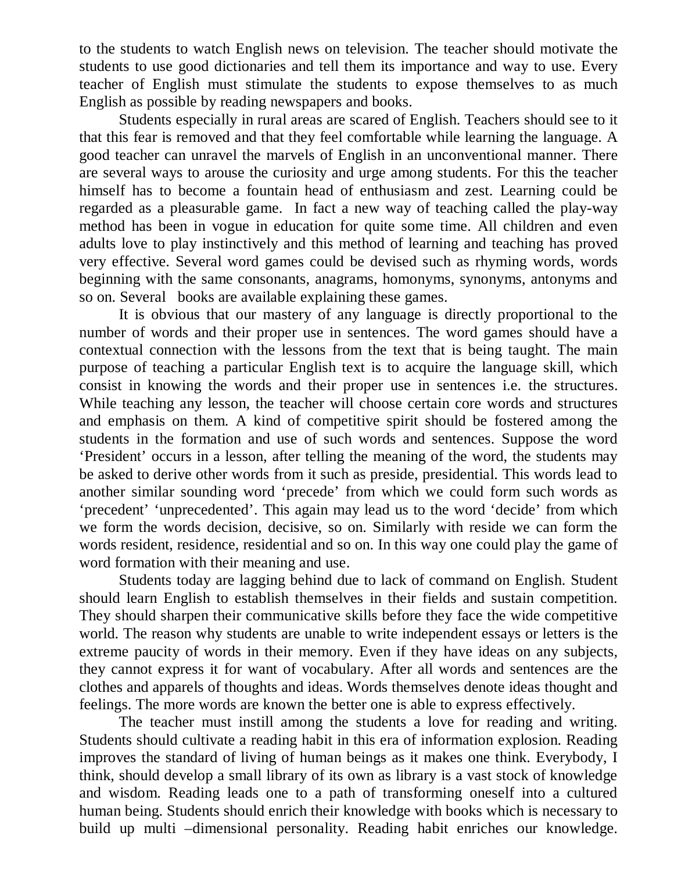to the students to watch English news on television. The teacher should motivate the students to use good dictionaries and tell them its importance and way to use. Every teacher of English must stimulate the students to expose themselves to as much English as possible by reading newspapers and books.

Students especially in rural areas are scared of English. Teachers should see to it that this fear is removed and that they feel comfortable while learning the language. A good teacher can unravel the marvels of English in an unconventional manner. There are several ways to arouse the curiosity and urge among students. For this the teacher himself has to become a fountain head of enthusiasm and zest. Learning could be regarded as a pleasurable game. In fact a new way of teaching called the play-way method has been in vogue in education for quite some time. All children and even adults love to play instinctively and this method of learning and teaching has proved very effective. Several word games could be devised such as rhyming words, words beginning with the same consonants, anagrams, homonyms, synonyms, antonyms and so on. Several books are available explaining these games.

It is obvious that our mastery of any language is directly proportional to the number of words and their proper use in sentences. The word games should have a contextual connection with the lessons from the text that is being taught. The main purpose of teaching a particular English text is to acquire the language skill, which consist in knowing the words and their proper use in sentences i.e. the structures. While teaching any lesson, the teacher will choose certain core words and structures and emphasis on them. A kind of competitive spirit should be fostered among the students in the formation and use of such words and sentences. Suppose the word 'President' occurs in a lesson, after telling the meaning of the word, the students may be asked to derive other words from it such as preside, presidential. This words lead to another similar sounding word 'precede' from which we could form such words as 'precedent' 'unprecedented'. This again may lead us to the word 'decide' from which we form the words decision, decisive, so on. Similarly with reside we can form the words resident, residence, residential and so on. In this way one could play the game of word formation with their meaning and use.

Students today are lagging behind due to lack of command on English. Student should learn English to establish themselves in their fields and sustain competition. They should sharpen their communicative skills before they face the wide competitive world. The reason why students are unable to write independent essays or letters is the extreme paucity of words in their memory. Even if they have ideas on any subjects, they cannot express it for want of vocabulary. After all words and sentences are the clothes and apparels of thoughts and ideas. Words themselves denote ideas thought and feelings. The more words are known the better one is able to express effectively.

The teacher must instill among the students a love for reading and writing. Students should cultivate a reading habit in this era of information explosion. Reading improves the standard of living of human beings as it makes one think. Everybody, I think, should develop a small library of its own as library is a vast stock of knowledge and wisdom. Reading leads one to a path of transforming oneself into a cultured human being. Students should enrich their knowledge with books which is necessary to build up multi –dimensional personality. Reading habit enriches our knowledge.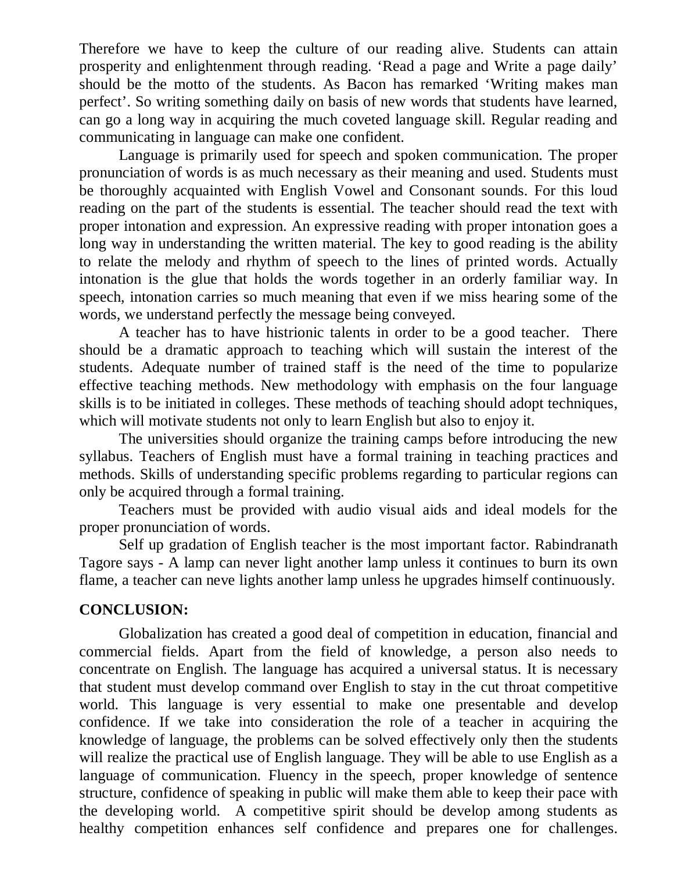Therefore we have to keep the culture of our reading alive. Students can attain prosperity and enlightenment through reading. 'Read a page and Write a page daily' should be the motto of the students. As Bacon has remarked 'Writing makes man perfect'. So writing something daily on basis of new words that students have learned, can go a long way in acquiring the much coveted language skill. Regular reading and communicating in language can make one confident.

Language is primarily used for speech and spoken communication. The proper pronunciation of words is as much necessary as their meaning and used. Students must be thoroughly acquainted with English Vowel and Consonant sounds. For this loud reading on the part of the students is essential. The teacher should read the text with proper intonation and expression. An expressive reading with proper intonation goes a long way in understanding the written material. The key to good reading is the ability to relate the melody and rhythm of speech to the lines of printed words. Actually intonation is the glue that holds the words together in an orderly familiar way. In speech, intonation carries so much meaning that even if we miss hearing some of the words, we understand perfectly the message being conveyed.

A teacher has to have histrionic talents in order to be a good teacher. There should be a dramatic approach to teaching which will sustain the interest of the students. Adequate number of trained staff is the need of the time to popularize effective teaching methods. New methodology with emphasis on the four language skills is to be initiated in colleges. These methods of teaching should adopt techniques, which will motivate students not only to learn English but also to enjoy it.

The universities should organize the training camps before introducing the new syllabus. Teachers of English must have a formal training in teaching practices and methods. Skills of understanding specific problems regarding to particular regions can only be acquired through a formal training.

Teachers must be provided with audio visual aids and ideal models for the proper pronunciation of words.

Self up gradation of English teacher is the most important factor. Rabindranath Tagore says - A lamp can never light another lamp unless it continues to burn its own flame, a teacher can neve lights another lamp unless he upgrades himself continuously.

## **CONCLUSION:**

Globalization has created a good deal of competition in education, financial and commercial fields. Apart from the field of knowledge, a person also needs to concentrate on English. The language has acquired a universal status. It is necessary that student must develop command over English to stay in the cut throat competitive world. This language is very essential to make one presentable and develop confidence. If we take into consideration the role of a teacher in acquiring the knowledge of language, the problems can be solved effectively only then the students will realize the practical use of English language. They will be able to use English as a language of communication. Fluency in the speech, proper knowledge of sentence structure, confidence of speaking in public will make them able to keep their pace with the developing world. A competitive spirit should be develop among students as healthy competition enhances self confidence and prepares one for challenges.